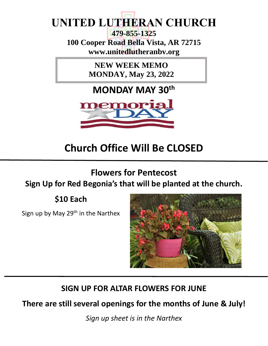# **UNITED LUTHERAN CHURCH**

**479-855-1325 100 Cooper Road Bella Vista, AR 72715 www.unitedlutheranbv.org**

> **NEW WEEK MEMO MONDAY, May 23, 2022**

**MONDAY MAY 30th**



# **Church Office Will Be CLOSED**

**Flowers for Pentecost**

## **Sign Up for Red Begonia's that will be planted at the church.**

**\$10 Each**

Sign up by May  $29<sup>th</sup>$  in the Narthex



## **SIGN UP FOR ALTAR FLOWERS FOR JUNE**

**There are still several openings for the months of June & July!**

*Sign up sheet is in the Narthex*